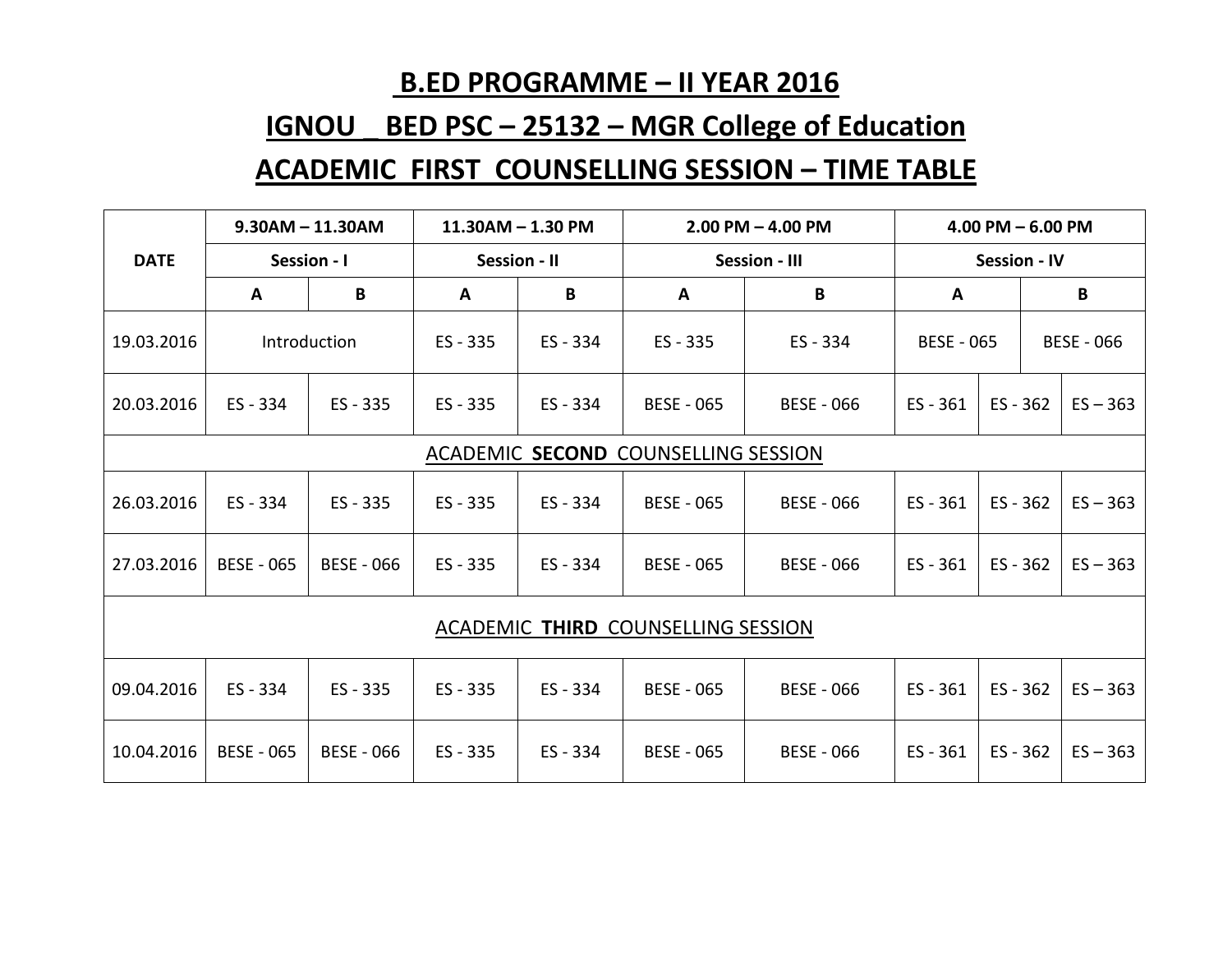## **B.ED PROGRAMME – II YEAR 2016**

## **IGNOU \_ BED PSC – 25132 – MGR College of Education ACADEMIC FIRST COUNSELLING SESSION – TIME TABLE**

|                                           | $9.30AM - 11.30AM$ |                   | 11.30AM - 1.30 PM |        | $2.00$ PM $-$ 4.00 PM |                   | $4.00$ PM $- 6.00$ PM |            |                   |  |  |
|-------------------------------------------|--------------------|-------------------|-------------------|--------|-----------------------|-------------------|-----------------------|------------|-------------------|--|--|
| <b>DATE</b>                               | Session - I        |                   | Session - II      |        | <b>Session - III</b>  |                   | <b>Session - IV</b>   |            |                   |  |  |
|                                           | A                  | B                 | A                 | B      | A                     | B                 | A                     | B          |                   |  |  |
| 19.03.2016                                |                    | Introduction      | ES - 335          | ES-334 | ES - 335              | ES - 334          | <b>BESE - 065</b>     |            | <b>BESE - 066</b> |  |  |
| 20.03.2016                                | $ES - 334$         | ES - 335          | ES - 335          | ES-334 | <b>BESE - 065</b>     | <b>BESE - 066</b> | $ES - 361$            | $ES - 362$ | $ES - 363$        |  |  |
| ACADEMIC SECOND COUNSELLING SESSION       |                    |                   |                   |        |                       |                   |                       |            |                   |  |  |
| 26.03.2016                                | ES-334             | ES - 335          | ES - 335          | ES-334 | <b>BESE - 065</b>     | <b>BESE - 066</b> | $ES - 361$            | $ES - 362$ | $ES - 363$        |  |  |
| 27.03.2016                                | <b>BESE - 065</b>  | <b>BESE - 066</b> | ES - 335          | ES-334 | <b>BESE - 065</b>     | <b>BESE - 066</b> | $ES - 361$            | $ES - 362$ | $ES - 363$        |  |  |
| <b>ACADEMIC THIRD COUNSELLING SESSION</b> |                    |                   |                   |        |                       |                   |                       |            |                   |  |  |
| 09.04.2016                                | ES-334             | $ES - 335$        | ES - 335          | ES-334 | <b>BESE - 065</b>     | <b>BESE - 066</b> | $ES - 361$            | $ES - 362$ | $ES - 363$        |  |  |
| 10.04.2016                                | <b>BESE - 065</b>  | <b>BESE - 066</b> | ES - 335          | ES-334 | <b>BESE - 065</b>     | <b>BESE - 066</b> | $ES - 361$            | $ES - 362$ | $ES - 363$        |  |  |